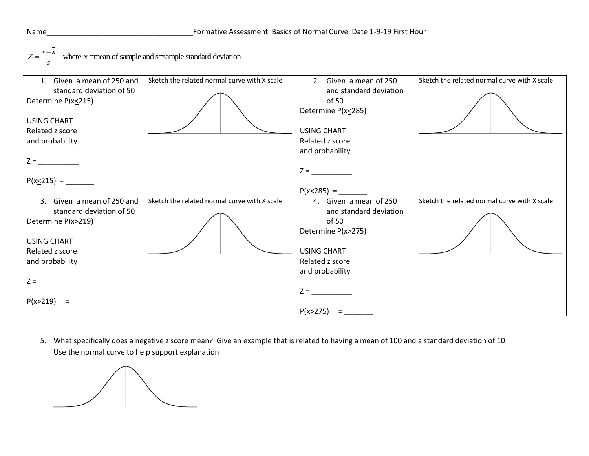

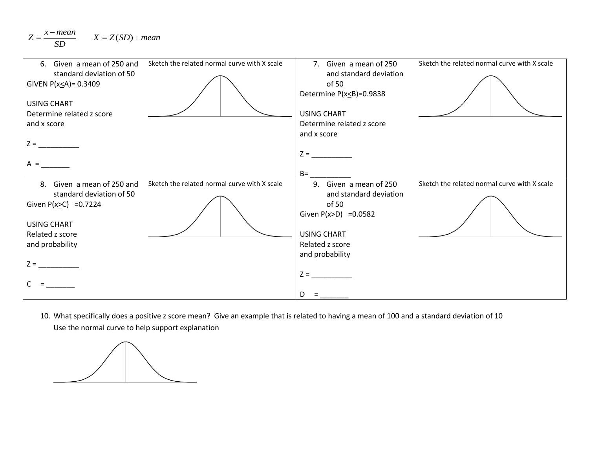

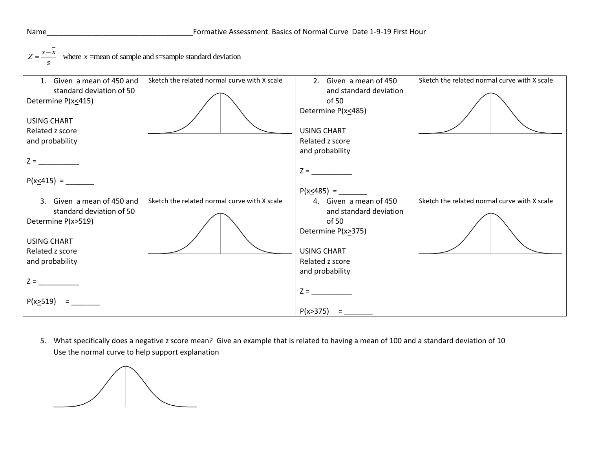

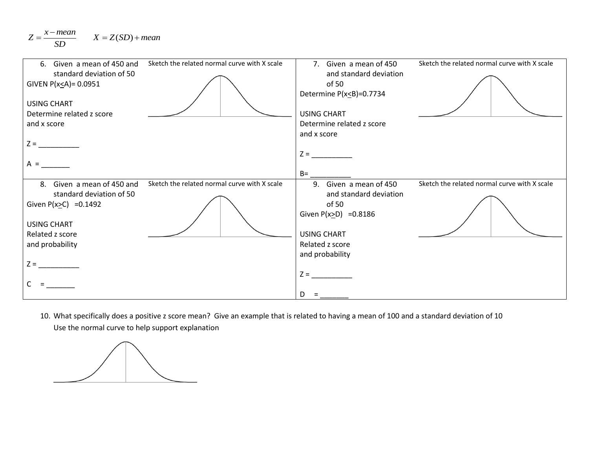

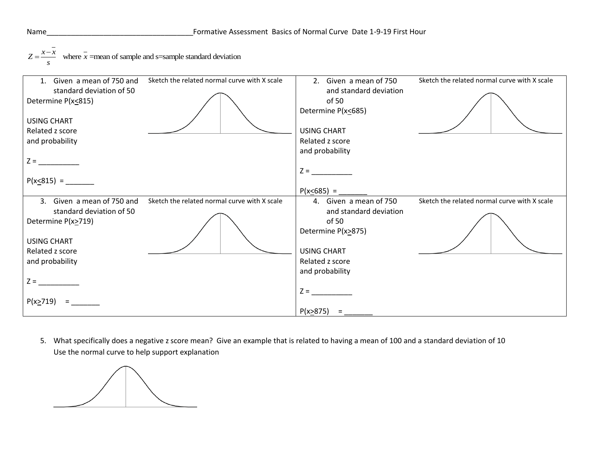

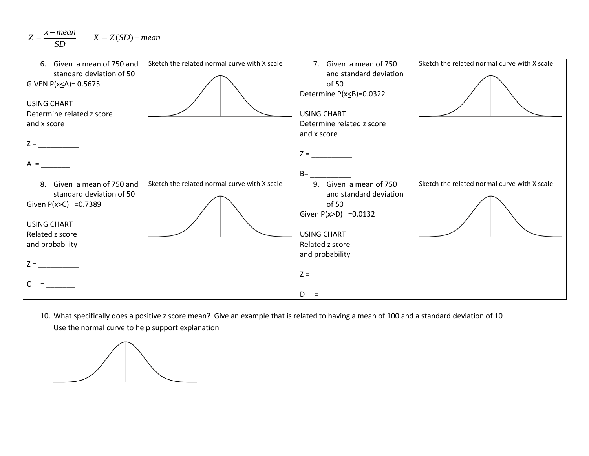$$
Z = \frac{x - mean}{SD} \qquad X = Z(SD) + mean
$$

| 6. Given a mean of 750 and                               | Sketch the related normal curve with X scale | 7. Given a mean of 750                                              | Sketch the related normal curve with X scale |
|----------------------------------------------------------|----------------------------------------------|---------------------------------------------------------------------|----------------------------------------------|
| standard deviation of 50<br>GIVEN $P(x \leq A) = 0.5675$ |                                              | and standard deviation<br>of 50<br>Determine $P(x \leq B) = 0.0322$ |                                              |
| <b>USING CHART</b>                                       |                                              | <b>USING CHART</b>                                                  |                                              |
| Determine related z score                                |                                              |                                                                     |                                              |
| and x score                                              |                                              | Determine related z score                                           |                                              |
| $Z =$                                                    |                                              | and x score                                                         |                                              |
|                                                          |                                              | $Z =$                                                               |                                              |
| $A =$                                                    |                                              |                                                                     |                                              |
|                                                          |                                              | $B=$                                                                |                                              |
| 8. Given a mean of 750 and<br>standard deviation of 50   | Sketch the related normal curve with X scale | 9. Given a mean of 750<br>and standard deviation                    | Sketch the related normal curve with X scale |
| Given $P(x \ge C) = 0.7389$                              |                                              | of 50<br>Given $P(x \ge D) = 0.0132$                                |                                              |
| <b>USING CHART</b>                                       |                                              |                                                                     |                                              |
| Related z score                                          |                                              | <b>USING CHART</b>                                                  |                                              |
| and probability                                          |                                              | Related z score                                                     |                                              |
|                                                          |                                              | and probability                                                     |                                              |
|                                                          |                                              |                                                                     |                                              |
|                                                          |                                              | $Z =$                                                               |                                              |
|                                                          |                                              |                                                                     |                                              |
|                                                          |                                              | D.                                                                  |                                              |

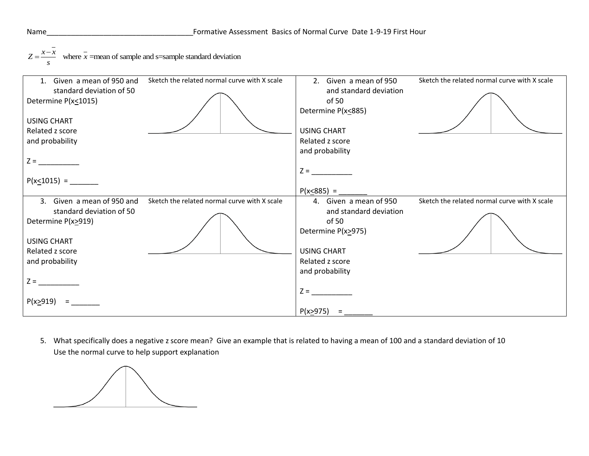